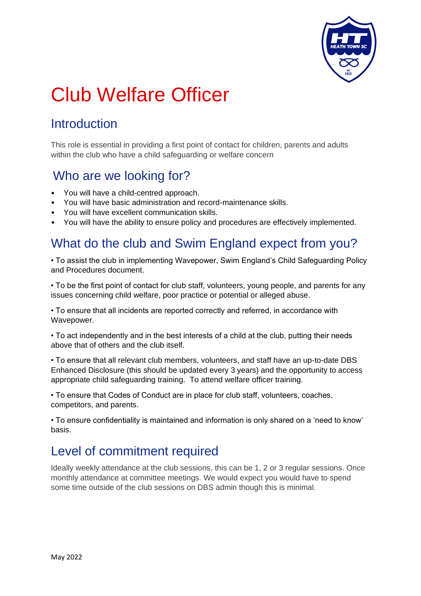

# Club Welfare Officer

# **Introduction**

This role is essential in providing a first point of contact for children, parents and adults within the club who have a child safeguarding or welfare concern

### Who are we looking for?

- You will have a child-centred approach.
- You will have basic administration and record-maintenance skills.
- You will have excellent communication skills.
- You will have the ability to ensure policy and procedures are effectively implemented.

#### What do the club and Swim England expect from you?

• To assist the club in implementing Wavepower, Swim England's Child Safeguarding Policy and Procedures document.

• To be the first point of contact for club staff, volunteers, young people, and parents for any issues concerning child welfare, poor practice or potential or alleged abuse.

• To ensure that all incidents are reported correctly and referred, in accordance with Wavepower.

• To act independently and in the best interests of a child at the club, putting their needs above that of others and the club itself.

• To ensure that all relevant club members, volunteers, and staff have an up-to-date DBS Enhanced Disclosure (this should be updated every 3 years) and the opportunity to access appropriate child safeguarding training. To attend welfare officer training.

• To ensure that Codes of Conduct are in place for club staff, volunteers, coaches, competitors, and parents.

• To ensure confidentiality is maintained and information is only shared on a 'need to know' basis.

## Level of commitment required

Ideally weekly attendance at the club sessions, this can be 1, 2 or 3 regular sessions. Once monthly attendance at committee meetings. We would expect you would have to spend some time outside of the club sessions on DBS admin though this is minimal.